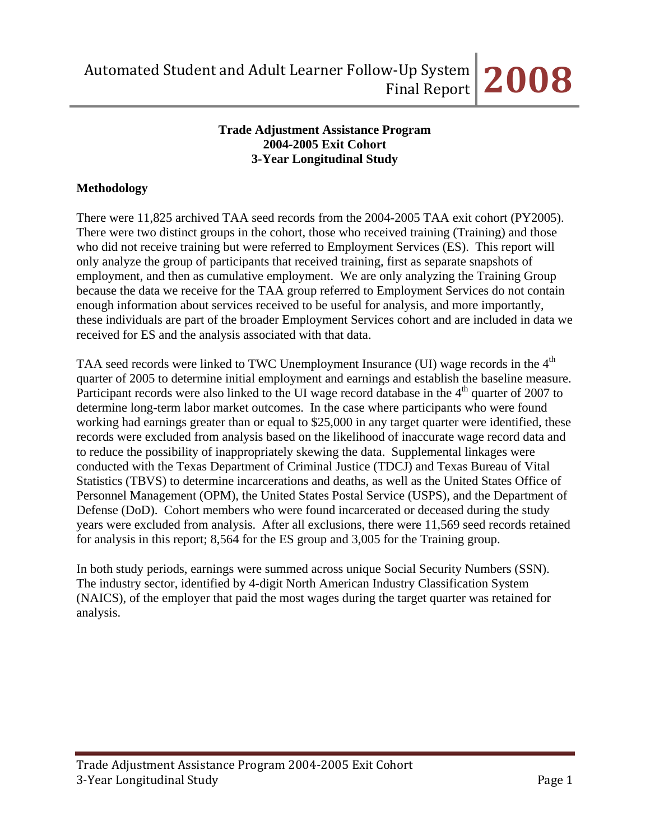#### **Trade Adjustment Assistance Program 2004-2005 Exit Cohort 3-Year Longitudinal Study**

## **Methodology**

There were 11,825 archived TAA seed records from the 2004-2005 TAA exit cohort (PY2005). There were two distinct groups in the cohort, those who received training (Training) and those who did not receive training but were referred to Employment Services (ES). This report will only analyze the group of participants that received training, first as separate snapshots of employment, and then as cumulative employment. We are only analyzing the Training Group because the data we receive for the TAA group referred to Employment Services do not contain enough information about services received to be useful for analysis, and more importantly, these individuals are part of the broader Employment Services cohort and are included in data we received for ES and the analysis associated with that data.

TAA seed records were linked to TWC Unemployment Insurance (UI) wage records in the 4<sup>th</sup> quarter of 2005 to determine initial employment and earnings and establish the baseline measure. Participant records were also linked to the UI wage record database in the  $4<sup>th</sup>$  quarter of 2007 to determine long-term labor market outcomes. In the case where participants who were found working had earnings greater than or equal to \$25,000 in any target quarter were identified, these records were excluded from analysis based on the likelihood of inaccurate wage record data and to reduce the possibility of inappropriately skewing the data. Supplemental linkages were conducted with the Texas Department of Criminal Justice (TDCJ) and Texas Bureau of Vital Statistics (TBVS) to determine incarcerations and deaths, as well as the United States Office of Personnel Management (OPM), the United States Postal Service (USPS), and the Department of Defense (DoD). Cohort members who were found incarcerated or deceased during the study years were excluded from analysis. After all exclusions, there were 11,569 seed records retained for analysis in this report; 8,564 for the ES group and 3,005 for the Training group.

In both study periods, earnings were summed across unique Social Security Numbers (SSN). The industry sector, identified by 4-digit North American Industry Classification System (NAICS), of the employer that paid the most wages during the target quarter was retained for analysis.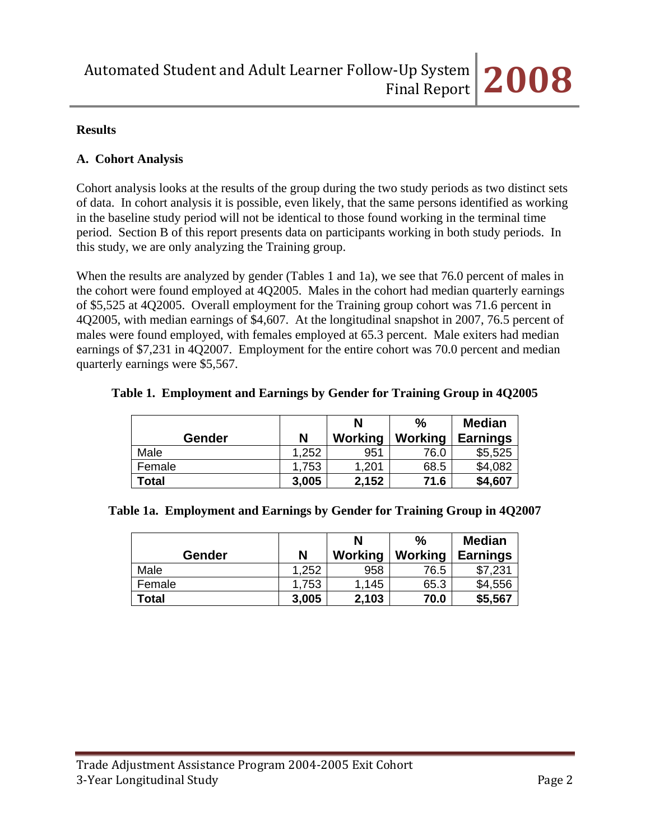#### **Results**

### **A. Cohort Analysis**

Cohort analysis looks at the results of the group during the two study periods as two distinct sets of data. In cohort analysis it is possible, even likely, that the same persons identified as working in the baseline study period will not be identical to those found working in the terminal time period. Section B of this report presents data on participants working in both study periods. In this study, we are only analyzing the Training group.

When the results are analyzed by gender (Tables 1 and 1a), we see that 76.0 percent of males in the cohort were found employed at 4Q2005. Males in the cohort had median quarterly earnings of \$5,525 at 4Q2005. Overall employment for the Training group cohort was 71.6 percent in 4Q2005, with median earnings of \$4,607. At the longitudinal snapshot in 2007, 76.5 percent of males were found employed, with females employed at 65.3 percent. Male exiters had median earnings of \$7,231 in 4Q2007. Employment for the entire cohort was 70.0 percent and median quarterly earnings were \$5,567.

| Table 1. Employment and Earnings by Gender for Training Group in 4Q2005 |  |  |
|-------------------------------------------------------------------------|--|--|
|                                                                         |  |  |

|        |       | N       | $\%$    | <b>Median</b>   |
|--------|-------|---------|---------|-----------------|
| Gender | N     | Working | Working | <b>Earnings</b> |
| Male   | 1,252 | 951     | 76.0    | \$5,525         |
| Female | 1,753 | 1,201   | 68.5    | \$4,082         |
| Total  | 3,005 | 2,152   | 71.6    | \$4,607         |

|  | Table 1a. Employment and Earnings by Gender for Training Group in 4Q2007 |  |
|--|--------------------------------------------------------------------------|--|
|  |                                                                          |  |

|               |       | N       | %       | <b>Median</b>   |
|---------------|-------|---------|---------|-----------------|
| <b>Gender</b> | N     | Working | Working | <b>Earnings</b> |
| Male          | 1,252 | 958     | 76.5    | \$7,231         |
| Female        | 1,753 | 1,145   | 65.3    | \$4,556         |
| Total         | 3,005 | 2,103   | 70.0    | \$5,567         |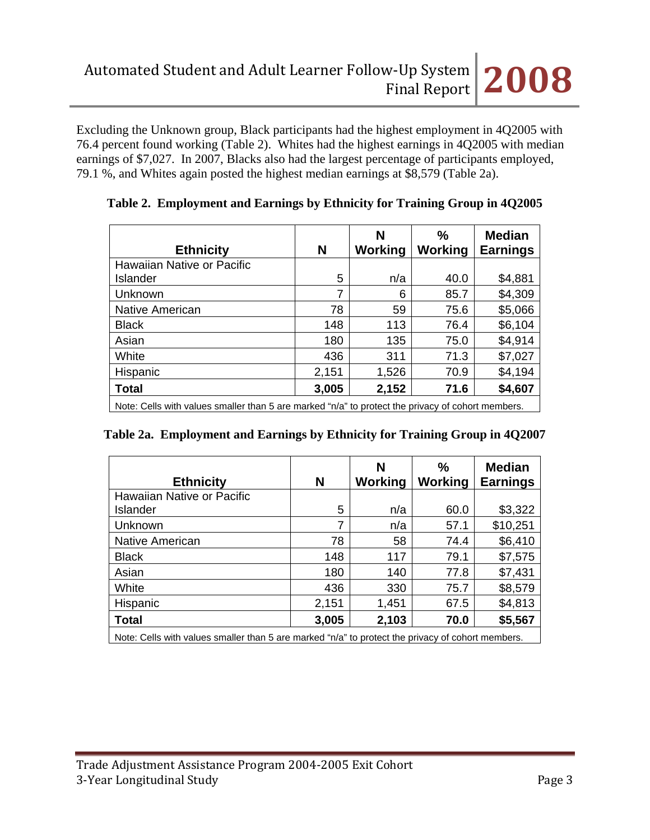Excluding the Unknown group, Black participants had the highest employment in 4Q2005 with 76.4 percent found working (Table 2). Whites had the highest earnings in 4Q2005 with median earnings of \$7,027. In 2007, Blacks also had the largest percentage of participants employed, 79.1 %, and Whites again posted the highest median earnings at \$8,579 (Table 2a).

| <b>Ethnicity</b>           | N     | N<br>Working | %<br>Working | <b>Median</b><br><b>Earnings</b> |
|----------------------------|-------|--------------|--------------|----------------------------------|
| Hawaiian Native or Pacific |       |              |              |                                  |
| Islander                   | 5     | n/a          | 40.0         | \$4,881                          |
| Unknown                    | 7     | 6            | 85.7         | \$4,309                          |
| Native American            | 78    | 59           | 75.6         | \$5,066                          |
| <b>Black</b>               | 148   | 113          | 76.4         | \$6,104                          |
| Asian                      | 180   | 135          | 75.0         | \$4,914                          |
| White                      | 436   | 311          | 71.3         | \$7,027                          |
| Hispanic                   | 2,151 | 1,526        | 70.9         | \$4,194                          |
| <b>Total</b>               | 3,005 | 2,152        | 71.6         | \$4,607                          |

**Table 2. Employment and Earnings by Ethnicity for Training Group in 4Q2005**

Note: Cells with values smaller than 5 are marked "n/a" to protect the privacy of cohort members.

|  |  |  |  | Table 2a. Employment and Earnings by Ethnicity for Training Group in 4Q2007 |  |
|--|--|--|--|-----------------------------------------------------------------------------|--|
|--|--|--|--|-----------------------------------------------------------------------------|--|

| <b>Ethnicity</b>                                                                                  | N     | N<br>Working | $\frac{0}{0}$<br><b>Working</b> | <b>Median</b><br><b>Earnings</b> |  |  |  |
|---------------------------------------------------------------------------------------------------|-------|--------------|---------------------------------|----------------------------------|--|--|--|
| Hawaiian Native or Pacific                                                                        |       |              |                                 |                                  |  |  |  |
| Islander                                                                                          | 5     | n/a          | 60.0                            | \$3,322                          |  |  |  |
| Unknown                                                                                           | 7     | n/a          | 57.1                            | \$10,251                         |  |  |  |
| Native American                                                                                   | 78    | 58           | 74.4                            | \$6,410                          |  |  |  |
| <b>Black</b>                                                                                      | 148   | 117          | 79.1                            | \$7,575                          |  |  |  |
| Asian                                                                                             | 180   | 140          | 77.8                            | \$7,431                          |  |  |  |
| White                                                                                             | 436   | 330          | 75.7                            | \$8,579                          |  |  |  |
| Hispanic                                                                                          | 2,151 | 1,451        | 67.5                            | \$4,813                          |  |  |  |
| <b>Total</b>                                                                                      | 3,005 | 2,103        | 70.0                            | \$5,567                          |  |  |  |
| Note: Cells with values smaller than 5 are marked "n/a" to protect the privacy of cohort members. |       |              |                                 |                                  |  |  |  |

Note: Cells with values smaller than 5 are marked "n/a" to protect the privacy of cohort members.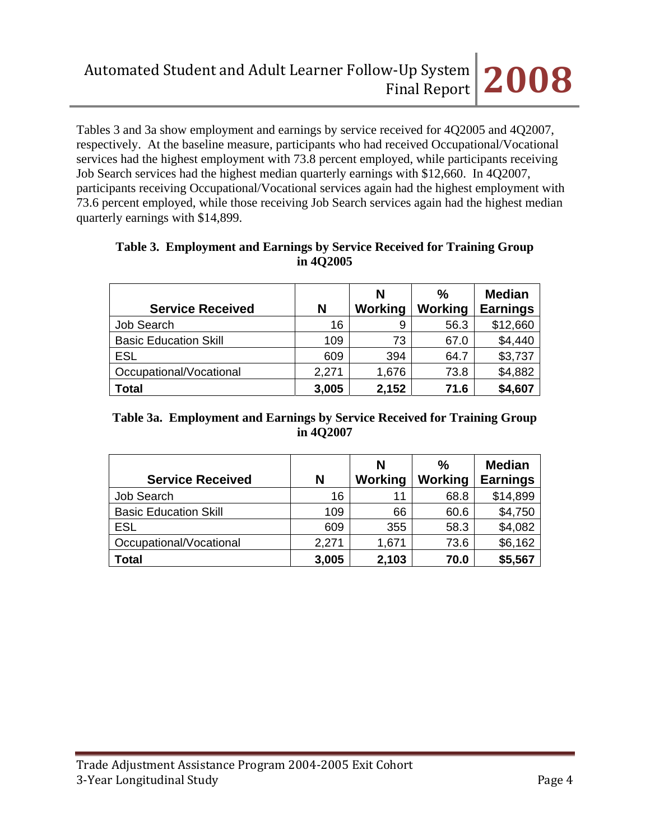Tables 3 and 3a show employment and earnings by service received for 4Q2005 and 4Q2007, respectively. At the baseline measure, participants who had received Occupational/Vocational services had the highest employment with 73.8 percent employed, while participants receiving Job Search services had the highest median quarterly earnings with \$12,660. In 4Q2007, participants receiving Occupational/Vocational services again had the highest employment with 73.6 percent employed, while those receiving Job Search services again had the highest median quarterly earnings with \$14,899.

| <b>Service Received</b>      | N     | N<br>Working | $\%$<br>Working | <b>Median</b><br><b>Earnings</b> |
|------------------------------|-------|--------------|-----------------|----------------------------------|
| <b>Job Search</b>            | 16    | 9            | 56.3            | \$12,660                         |
| <b>Basic Education Skill</b> | 109   | 73           | 67.0            | \$4,440                          |
| <b>ESL</b>                   | 609   | 394          | 64.7            | \$3,737                          |
| Occupational/Vocational      | 2,271 | 1,676        | 73.8            | \$4,882                          |
| <b>Total</b>                 | 3,005 | 2,152        | 71.6            | \$4,607                          |

# **Table 3. Employment and Earnings by Service Received for Training Group in 4Q2005**

### **Table 3a. Employment and Earnings by Service Received for Training Group in 4Q2007**

| <b>Service Received</b>      | N     | N<br>Working | $\frac{0}{0}$<br>Working | <b>Median</b><br><b>Earnings</b> |
|------------------------------|-------|--------------|--------------------------|----------------------------------|
| <b>Job Search</b>            | 16    | 11           | 68.8                     | \$14,899                         |
| <b>Basic Education Skill</b> | 109   | 66           | 60.6                     | \$4,750                          |
| <b>ESL</b>                   | 609   | 355          | 58.3                     | \$4,082                          |
| Occupational/Vocational      | 2,271 | 1,671        | 73.6                     | \$6,162                          |
| <b>Total</b>                 | 3,005 | 2,103        | 70.0                     | \$5,567                          |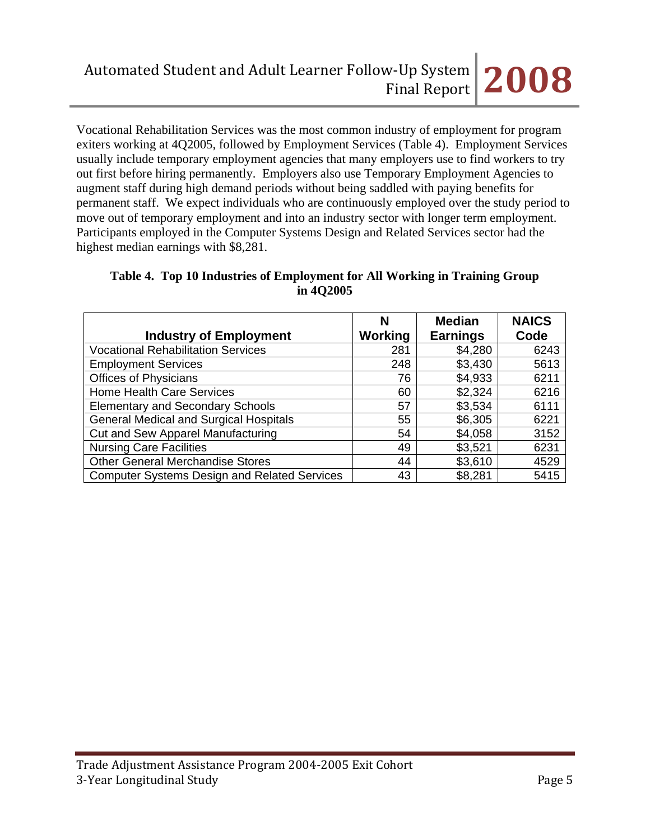Vocational Rehabilitation Services was the most common industry of employment for program exiters working at 4Q2005, followed by Employment Services (Table 4). Employment Services usually include temporary employment agencies that many employers use to find workers to try out first before hiring permanently. Employers also use Temporary Employment Agencies to augment staff during high demand periods without being saddled with paying benefits for permanent staff. We expect individuals who are continuously employed over the study period to move out of temporary employment and into an industry sector with longer term employment. Participants employed in the Computer Systems Design and Related Services sector had the highest median earnings with \$8,281.

# **Table 4. Top 10 Industries of Employment for All Working in Training Group in 4Q2005**

|                                                     | N              | <b>Median</b>   | <b>NAICS</b> |
|-----------------------------------------------------|----------------|-----------------|--------------|
| <b>Industry of Employment</b>                       | <b>Working</b> | <b>Earnings</b> | Code         |
| <b>Vocational Rehabilitation Services</b>           | 281            | \$4,280         | 6243         |
| <b>Employment Services</b>                          | 248            | \$3,430         | 5613         |
| <b>Offices of Physicians</b>                        | 76             | \$4,933         | 6211         |
| <b>Home Health Care Services</b>                    | 60             | \$2,324         | 6216         |
| <b>Elementary and Secondary Schools</b>             | 57             | \$3,534         | 6111         |
| <b>General Medical and Surgical Hospitals</b>       | 55             | \$6,305         | 6221         |
| Cut and Sew Apparel Manufacturing                   | 54             | \$4,058         | 3152         |
| <b>Nursing Care Facilities</b>                      | 49             | \$3,521         | 6231         |
| <b>Other General Merchandise Stores</b>             | 44             | \$3,610         | 4529         |
| <b>Computer Systems Design and Related Services</b> | 43             | \$8,281         | 5415         |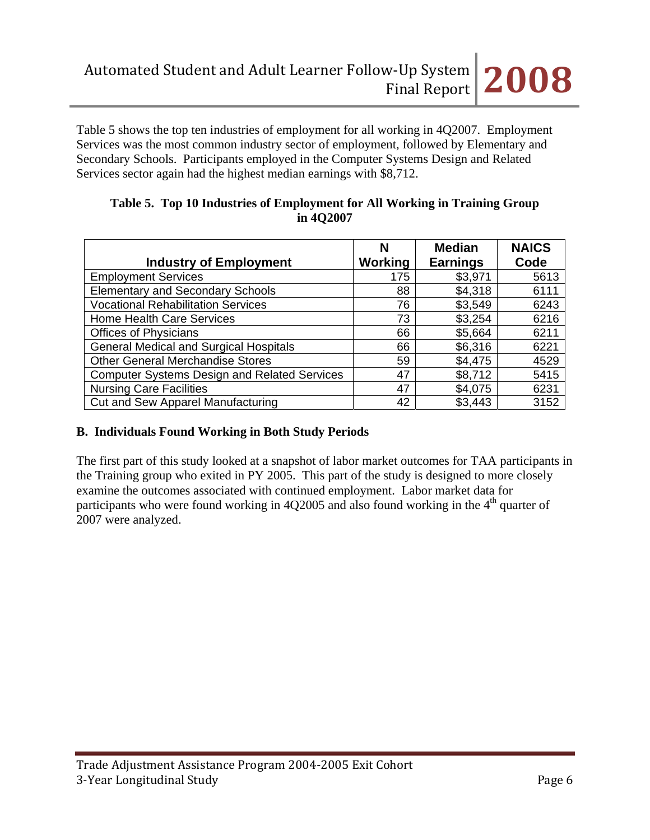

Table 5 shows the top ten industries of employment for all working in 4Q2007. Employment Services was the most common industry sector of employment, followed by Elementary and Secondary Schools. Participants employed in the Computer Systems Design and Related Services sector again had the highest median earnings with \$8,712.

| <b>Industry of Employment</b>                       | N<br><b>Working</b> | <b>Median</b><br><b>Earnings</b> | <b>NAICS</b><br>Code |
|-----------------------------------------------------|---------------------|----------------------------------|----------------------|
| <b>Employment Services</b>                          | 175                 | \$3,971                          | 5613                 |
| <b>Elementary and Secondary Schools</b>             | 88                  | \$4,318                          | 6111                 |
| <b>Vocational Rehabilitation Services</b>           | 76                  | \$3,549                          | 6243                 |
| <b>Home Health Care Services</b>                    | 73                  | \$3,254                          | 6216                 |
| <b>Offices of Physicians</b>                        | 66                  | \$5,664                          | 6211                 |
| <b>General Medical and Surgical Hospitals</b>       | 66                  | \$6,316                          | 6221                 |
| <b>Other General Merchandise Stores</b>             | 59                  | \$4,475                          | 4529                 |
| <b>Computer Systems Design and Related Services</b> | 47                  | \$8,712                          | 5415                 |
| <b>Nursing Care Facilities</b>                      | 47                  | \$4,075                          | 6231                 |
| Cut and Sew Apparel Manufacturing                   | 42                  | \$3,443                          | 3152                 |

### **Table 5. Top 10 Industries of Employment for All Working in Training Group in 4Q2007**

# **B. Individuals Found Working in Both Study Periods**

The first part of this study looked at a snapshot of labor market outcomes for TAA participants in the Training group who exited in PY 2005. This part of the study is designed to more closely examine the outcomes associated with continued employment. Labor market data for participants who were found working in  $4Q2005$  and also found working in the  $4<sup>th</sup>$  quarter of 2007 were analyzed.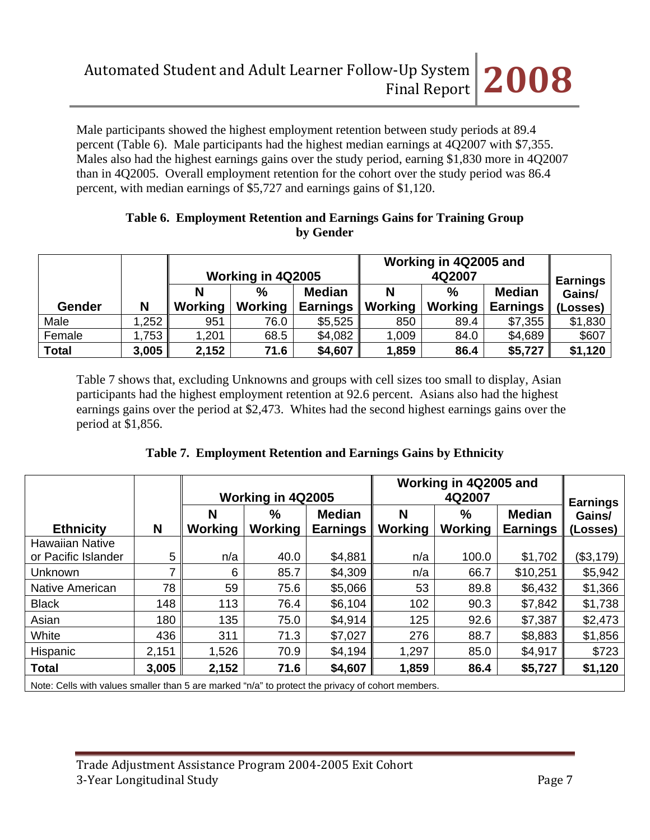Male participants showed the highest employment retention between study periods at 89.4 percent (Table 6). Male participants had the highest median earnings at 4Q2007 with \$7,355. Males also had the highest earnings gains over the study period, earning \$1,830 more in 4Q2007 than in 4Q2005. Overall employment retention for the cohort over the study period was 86.4 percent, with median earnings of \$5,727 and earnings gains of \$1,120.

### **Table 6. Employment Retention and Earnings Gains for Training Group by Gender**

|               |       | Working in 4Q2005 |               |                 | Working in 4Q2005 and | <b>Earnings</b> |                 |          |
|---------------|-------|-------------------|---------------|-----------------|-----------------------|-----------------|-----------------|----------|
|               |       | N                 | $\frac{0}{0}$ | <b>Median</b>   | N                     | $\%$            | <b>Median</b>   | Gains/   |
| <b>Gender</b> | N     | <b>Working</b>    | Working       | <b>Earnings</b> | <b>Working</b>        | Working         | <b>Earnings</b> | (Losses) |
| Male          | 1,252 | 951               | 76.0          | \$5,525         | 850                   | 89.4            | \$7,355         | \$1,830  |
| Female        | 1,753 | 1,201             | 68.5          | \$4,082         | 1,009                 | 84.0            | \$4,689         | \$607    |
| <b>Total</b>  | 3,005 | 2,152             | 71.6          | \$4,607         | 1,859                 | 86.4            | \$5,727         | \$1,120  |

Table 7 shows that, excluding Unknowns and groups with cell sizes too small to display, Asian participants had the highest employment retention at 92.6 percent. Asians also had the highest earnings gains over the period at \$2,473. Whites had the second highest earnings gains over the period at \$1,856.

|                                               |       | Working in 4Q2005   |                 |                                  | Working in 4Q2005 and | <b>Earnings</b> |                                  |                    |
|-----------------------------------------------|-------|---------------------|-----------------|----------------------------------|-----------------------|-----------------|----------------------------------|--------------------|
| <b>Ethnicity</b>                              | N     | N<br><b>Working</b> | $\%$<br>Working | <b>Median</b><br><b>Earnings</b> | N<br>Working          | $\%$<br>Working | <b>Median</b><br><b>Earnings</b> | Gains/<br>(Losses) |
| <b>Hawaiian Native</b><br>or Pacific Islander | 5     | n/a                 | 40.0            | \$4,881                          | n/a                   | 100.0           | \$1,702                          | (\$3,179)          |
| Unknown                                       | ⇁     | 6                   | 85.7            | \$4,309                          | n/a                   | 66.7            | \$10,251                         | \$5,942            |
| Native American                               | 78    | 59                  | 75.6            | \$5,066                          | 53                    | 89.8            | \$6,432                          | \$1,366            |
| <b>Black</b>                                  | 148   | 113                 | 76.4            | \$6,104                          | 102                   | 90.3            | \$7,842                          | \$1,738            |
| Asian                                         | 180   | 135                 | 75.0            | \$4,914                          | 125                   | 92.6            | \$7,387                          | \$2,473            |
| White                                         | 436   | 311                 | 71.3            | \$7,027                          | 276                   | 88.7            | \$8,883                          | \$1,856            |
| Hispanic                                      | 2,151 | 1,526               | 70.9            | \$4,194                          | 1,297                 | 85.0            | \$4,917                          | \$723              |
| <b>Total</b>                                  | 3,005 | 2,152               | 71.6            | \$4,607                          | 1,859                 | 86.4            | \$5,727                          | \$1,120            |

Note: Cells with values smaller than 5 are marked "n/a" to protect the privacy of cohort members.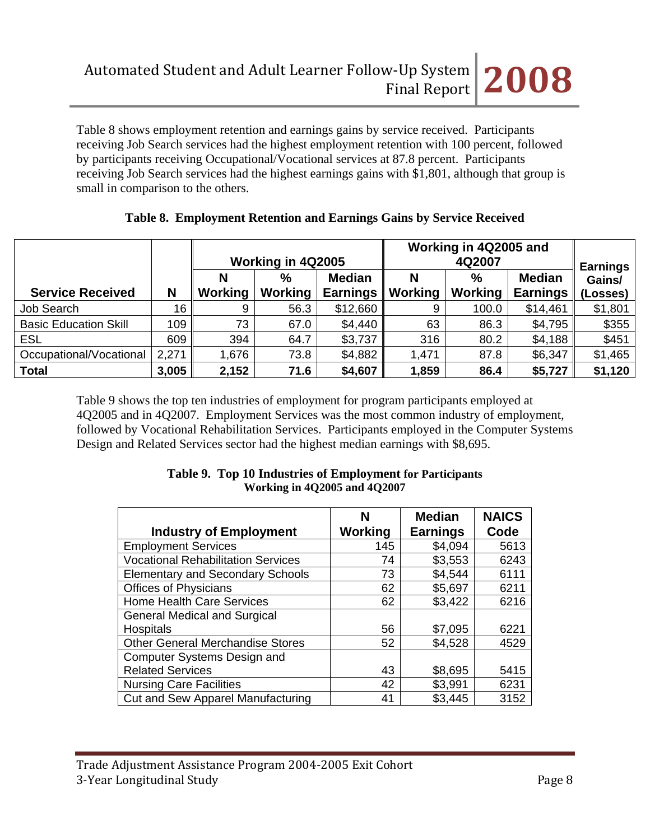Table 8 shows employment retention and earnings gains by service received. Participants receiving Job Search services had the highest employment retention with 100 percent, followed by participants receiving Occupational/Vocational services at 87.8 percent. Participants receiving Job Search services had the highest earnings gains with \$1,801, although that group is small in comparison to the others.

|                              |                 | Working in 4Q2005 |                 |                                  | Working in 4Q2005 and | <b>Earnings</b>        |                                  |                    |
|------------------------------|-----------------|-------------------|-----------------|----------------------------------|-----------------------|------------------------|----------------------------------|--------------------|
| <b>Service Received</b>      | N               | Working           | $\%$<br>Working | <b>Median</b><br><b>Earnings</b> | Ν<br>Working          | $\%$<br><b>Working</b> | <b>Median</b><br><b>Earnings</b> | Gains/<br>(Losses) |
| Job Search                   | 16 <sub>1</sub> | 9                 | 56.3            | \$12,660                         | 9                     | 100.0                  | \$14,461                         | \$1,801            |
| <b>Basic Education Skill</b> | 109             | 73                | 67.0            | \$4,440                          | 63                    | 86.3                   | \$4,795                          | \$355              |
| <b>ESL</b>                   | 609             | 394               | 64.7            | \$3,737                          | 316                   | 80.2                   | \$4,188                          | \$451              |
| Occupational/Vocational      | 2,271           | 1,676             | 73.8            | \$4,882                          | 1,471                 | 87.8                   | \$6,347                          | \$1,465            |
| <b>Total</b>                 | 3,005           | 2,152             | 71.6            | \$4,607                          | 1,859                 | 86.4                   | \$5,727                          | \$1,120            |

### **Table 8. Employment Retention and Earnings Gains by Service Received**

Table 9 shows the top ten industries of employment for program participants employed at 4Q2005 and in 4Q2007. Employment Services was the most common industry of employment, followed by Vocational Rehabilitation Services. Participants employed in the Computer Systems Design and Related Services sector had the highest median earnings with \$8,695.

| <b>Working in 4Q2005 and 4Q2007</b> |                     |                                  |                      |  |  |
|-------------------------------------|---------------------|----------------------------------|----------------------|--|--|
| <b>Industry of Employment</b>       | N<br><b>Working</b> | <b>Median</b><br><b>Earnings</b> | <b>NAICS</b><br>Code |  |  |
| ployment Services                   | 145                 | \$4.094                          | 5613                 |  |  |
| pational Rahahilitation Sarvicae    | 71                  | よろ ピピる                           | ROAR.                |  |  |

| Table 9. Top 10 Industries of Employment for Participants |  |
|-----------------------------------------------------------|--|
| <b>Working in 4Q2005 and 4Q2007</b>                       |  |

|                                           | N       | megian          | NAICJ |
|-------------------------------------------|---------|-----------------|-------|
| <b>Industry of Employment</b>             | Working | <b>Earnings</b> | Code  |
| <b>Employment Services</b>                | 145     | \$4,094         | 5613  |
| <b>Vocational Rehabilitation Services</b> | 74      | \$3,553         | 6243  |
| <b>Elementary and Secondary Schools</b>   | 73      | \$4,544         | 6111  |
| <b>Offices of Physicians</b>              | 62      | \$5,697         | 6211  |
| <b>Home Health Care Services</b>          | 62      | \$3,422         | 6216  |
| <b>General Medical and Surgical</b>       |         |                 |       |
| Hospitals                                 | 56      | \$7,095         | 6221  |
| <b>Other General Merchandise Stores</b>   | 52      | \$4,528         | 4529  |
| <b>Computer Systems Design and</b>        |         |                 |       |
| <b>Related Services</b>                   | 43      | \$8,695         | 5415  |
| <b>Nursing Care Facilities</b>            | 42      | \$3,991         | 6231  |
| Cut and Sew Apparel Manufacturing         | 41      | \$3,445         | 3152  |

Г